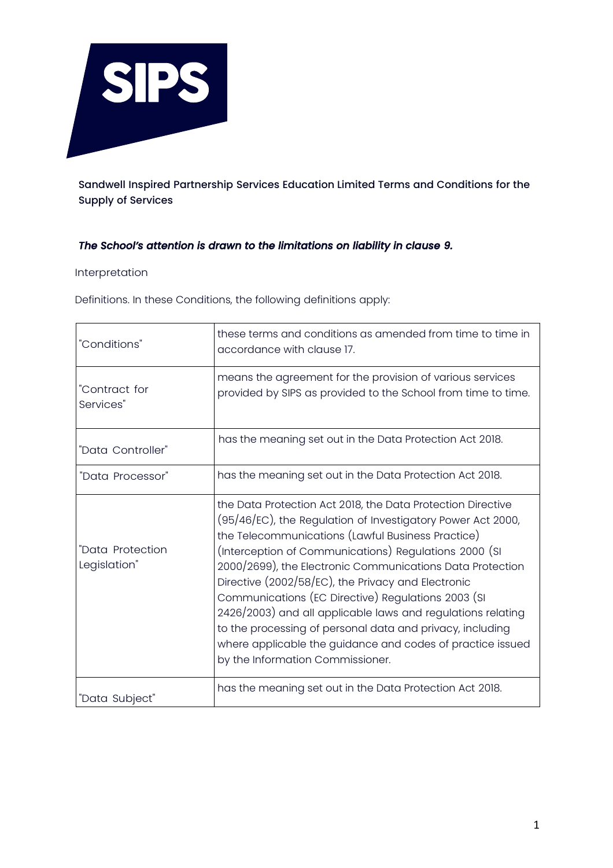

Sandwell Inspired Partnership Services Education Limited Terms and Conditions for the Supply of Services

# *The School's attention is drawn to the limitations on liability in clause 9.*

#### Interpretation

Definitions. In these Conditions, the following definitions apply:

| "Conditions"                     | these terms and conditions as amended from time to time in<br>accordance with clause 17.                                                                                                                                                                                                                                                                                                                                                                                                                                                                                                                                                        |
|----------------------------------|-------------------------------------------------------------------------------------------------------------------------------------------------------------------------------------------------------------------------------------------------------------------------------------------------------------------------------------------------------------------------------------------------------------------------------------------------------------------------------------------------------------------------------------------------------------------------------------------------------------------------------------------------|
| "Contract for<br>Services"       | means the agreement for the provision of various services<br>provided by SIPS as provided to the School from time to time.                                                                                                                                                                                                                                                                                                                                                                                                                                                                                                                      |
| "Data Controller"                | has the meaning set out in the Data Protection Act 2018.                                                                                                                                                                                                                                                                                                                                                                                                                                                                                                                                                                                        |
| "Data Processor"                 | has the meaning set out in the Data Protection Act 2018.                                                                                                                                                                                                                                                                                                                                                                                                                                                                                                                                                                                        |
| "Data Protection<br>Legislation" | the Data Protection Act 2018, the Data Protection Directive<br>(95/46/EC), the Regulation of Investigatory Power Act 2000,<br>the Telecommunications (Lawful Business Practice)<br>(Interception of Communications) Regulations 2000 (SI<br>2000/2699), the Electronic Communications Data Protection<br>Directive (2002/58/EC), the Privacy and Electronic<br>Communications (EC Directive) Regulations 2003 (SI<br>2426/2003) and all applicable laws and regulations relating<br>to the processing of personal data and privacy, including<br>where applicable the guidance and codes of practice issued<br>by the Information Commissioner. |
| "Data Subject"                   | has the meaning set out in the Data Protection Act 2018.                                                                                                                                                                                                                                                                                                                                                                                                                                                                                                                                                                                        |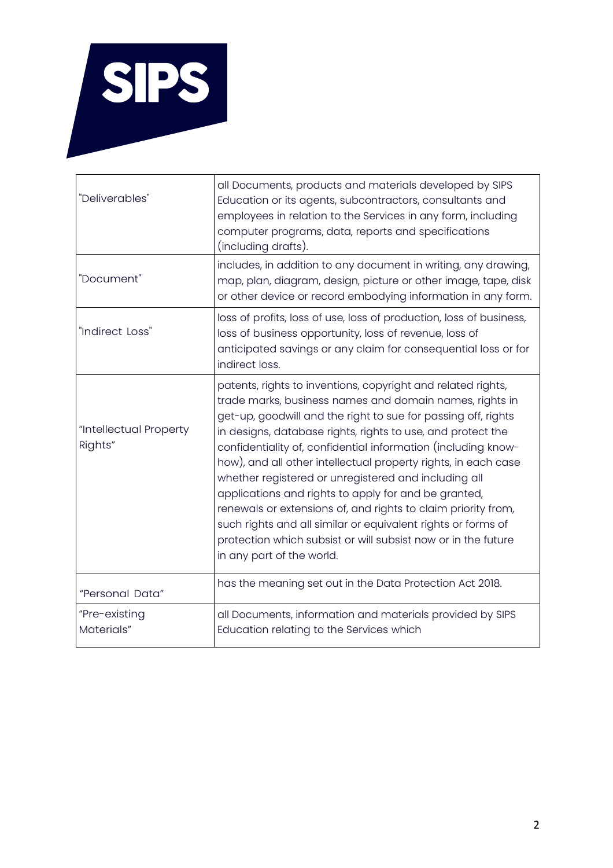

| "Deliverables"                    | all Documents, products and materials developed by SIPS<br>Education or its agents, subcontractors, consultants and<br>employees in relation to the Services in any form, including<br>computer programs, data, reports and specifications<br>(including drafts).                                                                                                                                                                                                                                                                                                                                                                                                                                                                         |
|-----------------------------------|-------------------------------------------------------------------------------------------------------------------------------------------------------------------------------------------------------------------------------------------------------------------------------------------------------------------------------------------------------------------------------------------------------------------------------------------------------------------------------------------------------------------------------------------------------------------------------------------------------------------------------------------------------------------------------------------------------------------------------------------|
| "Document"                        | includes, in addition to any document in writing, any drawing,<br>map, plan, diagram, design, picture or other image, tape, disk<br>or other device or record embodying information in any form.                                                                                                                                                                                                                                                                                                                                                                                                                                                                                                                                          |
| "Indirect Loss"                   | loss of profits, loss of use, loss of production, loss of business,<br>loss of business opportunity, loss of revenue, loss of<br>anticipated savings or any claim for consequential loss or for<br>indirect loss.                                                                                                                                                                                                                                                                                                                                                                                                                                                                                                                         |
| "Intellectual Property<br>Rights" | patents, rights to inventions, copyright and related rights,<br>trade marks, business names and domain names, rights in<br>get-up, goodwill and the right to sue for passing off, rights<br>in designs, database rights, rights to use, and protect the<br>confidentiality of, confidential information (including know-<br>how), and all other intellectual property rights, in each case<br>whether registered or unregistered and including all<br>applications and rights to apply for and be granted,<br>renewals or extensions of, and rights to claim priority from,<br>such rights and all similar or equivalent rights or forms of<br>protection which subsist or will subsist now or in the future<br>in any part of the world. |
| "Personal Data"                   | has the meaning set out in the Data Protection Act 2018.                                                                                                                                                                                                                                                                                                                                                                                                                                                                                                                                                                                                                                                                                  |
| "Pre-existing<br>Materials"       | all Documents, information and materials provided by SIPS<br>Education relating to the Services which                                                                                                                                                                                                                                                                                                                                                                                                                                                                                                                                                                                                                                     |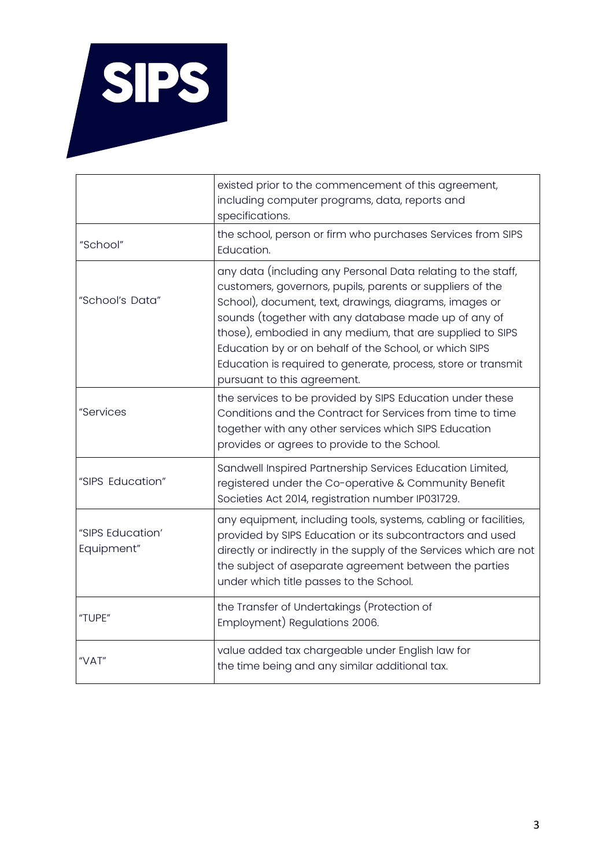

|                                | existed prior to the commencement of this agreement,<br>including computer programs, data, reports and<br>specifications.                                                                                                                                                                                                                                                                                                                                          |
|--------------------------------|--------------------------------------------------------------------------------------------------------------------------------------------------------------------------------------------------------------------------------------------------------------------------------------------------------------------------------------------------------------------------------------------------------------------------------------------------------------------|
| "School"                       | the school, person or firm who purchases Services from SIPS<br>Education.                                                                                                                                                                                                                                                                                                                                                                                          |
| "School's Data"                | any data (including any Personal Data relating to the staff,<br>customers, governors, pupils, parents or suppliers of the<br>School), document, text, drawings, diagrams, images or<br>sounds (together with any database made up of any of<br>those), embodied in any medium, that are supplied to SIPS<br>Education by or on behalf of the School, or which SIPS<br>Education is required to generate, process, store or transmit<br>pursuant to this agreement. |
| "Services                      | the services to be provided by SIPS Education under these<br>Conditions and the Contract for Services from time to time<br>together with any other services which SIPS Education<br>provides or agrees to provide to the School.                                                                                                                                                                                                                                   |
| "SIPS Education"               | Sandwell Inspired Partnership Services Education Limited,<br>registered under the Co-operative & Community Benefit<br>Societies Act 2014, registration number IP031729.                                                                                                                                                                                                                                                                                            |
| "SIPS Education'<br>Equipment" | any equipment, including tools, systems, cabling or facilities,<br>provided by SIPS Education or its subcontractors and used<br>directly or indirectly in the supply of the Services which are not<br>the subject of aseparate agreement between the parties<br>under which title passes to the School.                                                                                                                                                            |
| "TUPE"                         | the Transfer of Undertakings (Protection of<br>Employment) Regulations 2006.                                                                                                                                                                                                                                                                                                                                                                                       |
| "VAT"                          | value added tax chargeable under English law for<br>the time being and any similar additional tax.                                                                                                                                                                                                                                                                                                                                                                 |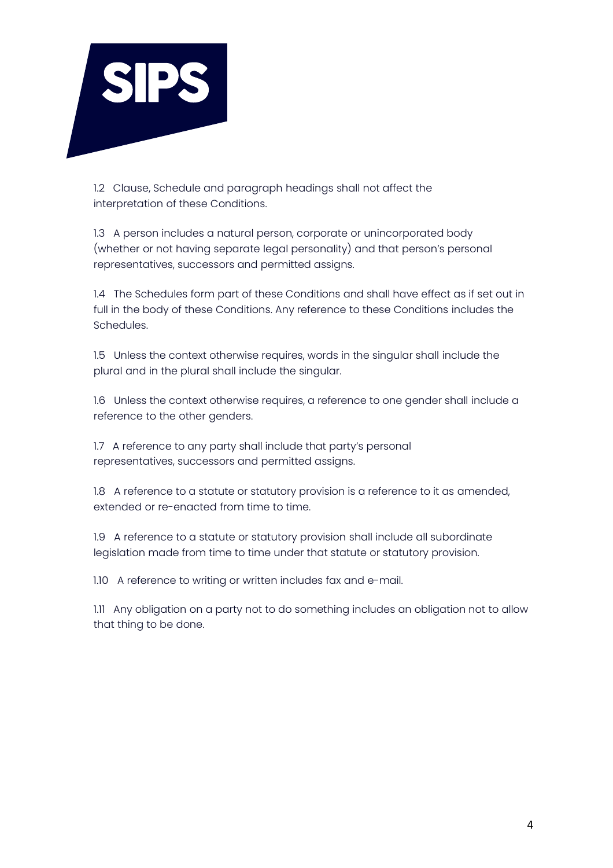

1.2 Clause, Schedule and paragraph headings shall not affect the interpretation of these Conditions.

1.3 A person includes a natural person, corporate or unincorporated body (whether or not having separate legal personality) and that person's personal representatives, successors and permitted assigns.

1.4 The Schedules form part of these Conditions and shall have effect as if set out in full in the body of these Conditions. Any reference to these Conditions includes the Schedules.

1.5 Unless the context otherwise requires, words in the singular shall include the plural and in the plural shall include the singular.

1.6 Unless the context otherwise requires, a reference to one gender shall include a reference to the other genders.

1.7 A reference to any party shall include that party's personal representatives, successors and permitted assigns.

1.8 A reference to a statute or statutory provision is a reference to it as amended, extended or re-enacted from time to time.

1.9 A reference to a statute or statutory provision shall include all subordinate legislation made from time to time under that statute or statutory provision.

1.10 A reference to writing or written includes fax and e-mail.

1.11 Any obligation on a party not to do something includes an obligation not to allow that thing to be done.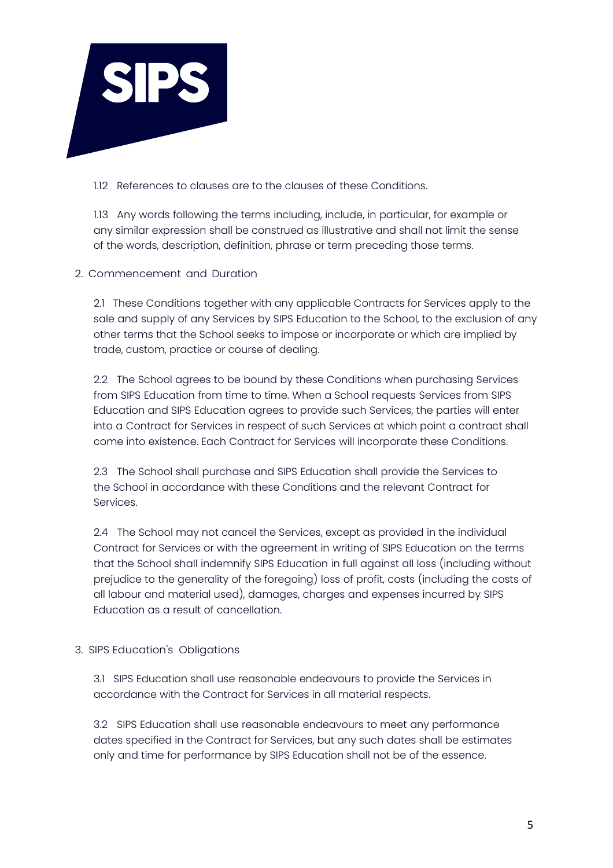

1.12 References to clauses are to the clauses of these Conditions.

1.13 Any words following the terms including, include, in particular, for example or any similar expression shall be construed as illustrative and shall not limit the sense of the words, description, definition, phrase or term preceding those terms.

# 2. Commencement and Duration

2.1 These Conditions together with any applicable Contracts for Services apply to the sale and supply of any Services by SIPS Education to the School, to the exclusion of any other terms that the School seeks to impose or incorporate or which are implied by trade, custom, practice or course of dealing.

2.2 The School agrees to be bound by these Conditions when purchasing Services from SIPS Education from time to time. When a School requests Services from SIPS Education and SIPS Education agrees to provide such Services, the parties will enter into a Contract for Services in respect of such Services at which point a contract shall come into existence. Each Contract for Services will incorporate these Conditions.

2.3 The School shall purchase and SIPS Education shall provide the Services to the School in accordance with these Conditions and the relevant Contract for Services.

2.4 The School may not cancel the Services, except as provided in the individual Contract for Services or with the agreement in writing of SIPS Education on the terms that the School shall indemnify SIPS Education in full against all loss (including without prejudice to the generality of the foregoing) loss of profit, costs (including the costs of all labour and material used), damages, charges and expenses incurred by SIPS Education as a result of cancellation.

# 3. SIPS Education's Obligations

3.1 SIPS Education shall use reasonable endeavours to provide the Services in accordance with the Contract for Services in all material respects.

3.2 SIPS Education shall use reasonable endeavours to meet any performance dates specified in the Contract for Services, but any such dates shall be estimates only and time for performance by SIPS Education shall not be of the essence.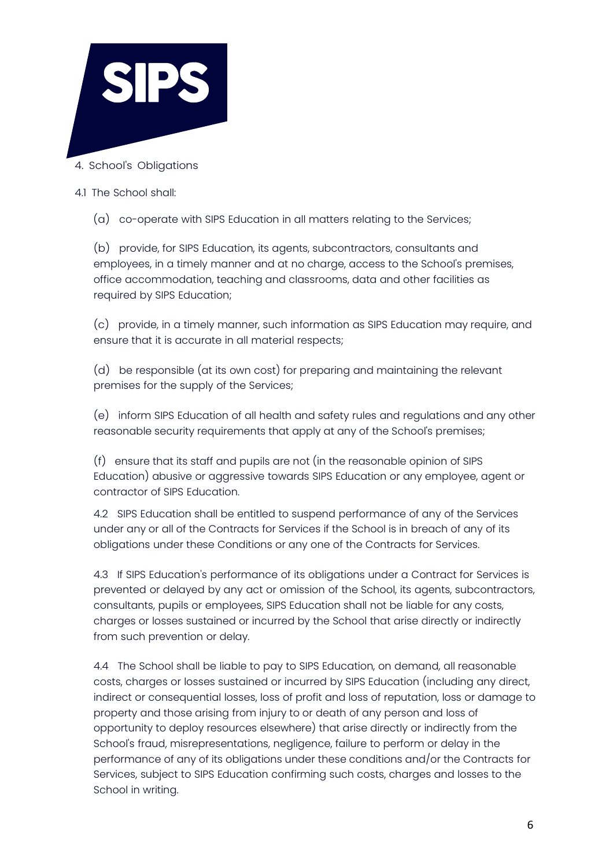

- 4. School's Obligations
- 4.1 The School shall:
	- (a) co-operate with SIPS Education in all matters relating to the Services;

(b) provide, for SIPS Education, its agents, subcontractors, consultants and employees, in a timely manner and at no charge, access to the School's premises, office accommodation, teaching and classrooms, data and other facilities as required by SIPS Education;

(c) provide, in a timely manner, such information as SIPS Education may require, and ensure that it is accurate in all material respects;

(d) be responsible (at its own cost) for preparing and maintaining the relevant premises for the supply of the Services;

(e) inform SIPS Education of all health and safety rules and regulations and any other reasonable security requirements that apply at any of the School's premises;

(f) ensure that its staff and pupils are not (in the reasonable opinion of SIPS Education) abusive or aggressive towards SIPS Education or any employee, agent or contractor of SIPS Education.

4.2 SIPS Education shall be entitled to suspend performance of any of the Services under any or all of the Contracts for Services if the School is in breach of any of its obligations under these Conditions or any one of the Contracts for Services.

4.3 If SIPS Education's performance of its obligations under a Contract for Services is prevented or delayed by any act or omission of the School, its agents, subcontractors, consultants, pupils or employees, SIPS Education shall not be liable for any costs, charges or losses sustained or incurred by the School that arise directly or indirectly from such prevention or delay.

4.4 The School shall be liable to pay to SIPS Education, on demand, all reasonable costs, charges or losses sustained or incurred by SIPS Education (including any direct, indirect or consequential losses, loss of profit and loss of reputation, loss or damage to property and those arising from injury to or death of any person and loss of opportunity to deploy resources elsewhere) that arise directly or indirectly from the School's fraud, misrepresentations, negligence, failure to perform or delay in the performance of any of its obligations under these conditions and/or the Contracts for Services, subject to SIPS Education confirming such costs, charges and losses to the School in writing.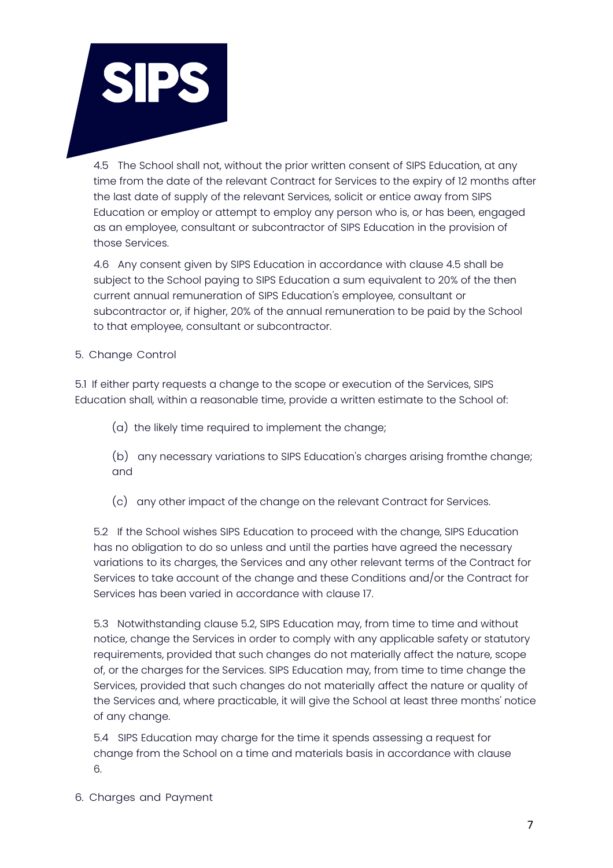

4.5 The School shall not, without the prior written consent of SIPS Education, at any time from the date of the relevant Contract for Services to the expiry of 12 months after the last date of supply of the relevant Services, solicit or entice away from SIPS Education or employ or attempt to employ any person who is, or has been, engaged as an employee, consultant or subcontractor of SIPS Education in the provision of those Services.

4.6 Any consent given by SIPS Education in accordance with clause 4.5 shall be subject to the School paying to SIPS Education a sum equivalent to 20% of the then current annual remuneration of SIPS Education's employee, consultant or subcontractor or, if higher, 20% of the annual remuneration to be paid by the School to that employee, consultant or subcontractor.

# 5. Change Control

5.1 If either party requests a change to the scope or execution of the Services, SIPS Education shall, within a reasonable time, provide a written estimate to the School of:

- (a) the likely time required to implement the change;
- (b) any necessary variations to SIPS Education's charges arising fromthe change; and
- (c) any other impact of the change on the relevant Contract for Services.

5.2 If the School wishes SIPS Education to proceed with the change, SIPS Education has no obligation to do so unless and until the parties have agreed the necessary variations to its charges, the Services and any other relevant terms of the Contract for Services to take account of the change and these Conditions and/or the Contract for Services has been varied in accordance with clause 17.

5.3 Notwithstanding clause 5.2, SIPS Education may, from time to time and without notice, change the Services in order to comply with any applicable safety or statutory requirements, provided that such changes do not materially affect the nature, scope of, or the charges for the Services. SIPS Education may, from time to time change the Services, provided that such changes do not materially affect the nature or quality of the Services and, where practicable, it will give the School at least three months' notice of any change.

5.4 SIPS Education may charge for the time it spends assessing a request for change from the School on a time and materials basis in accordance with clause 6.

6. Charges and Payment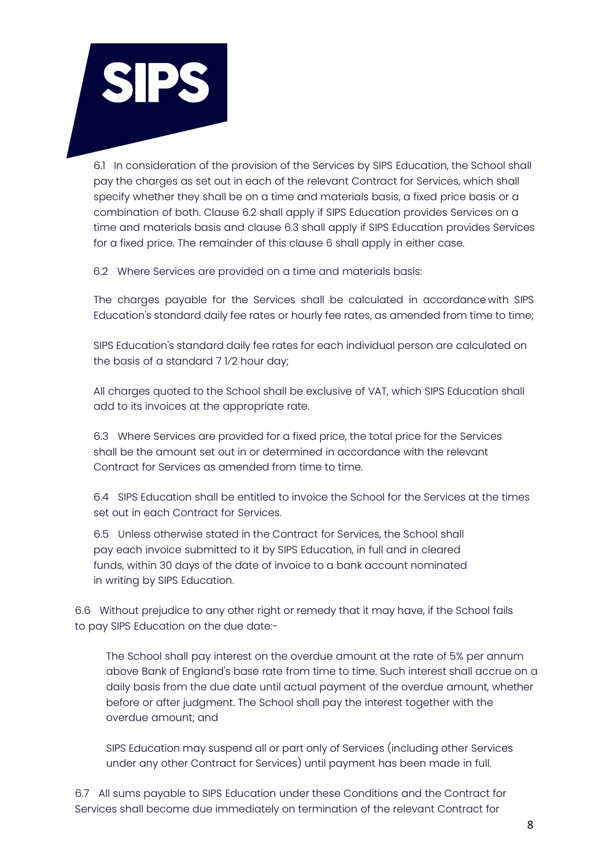

6.1 In consideration of the provision of the Services by SIPS Education, the School shall pay the charges as set out in each of the relevant Contract for Services, which shall specify whether they shall be on a time and materials basis, a fixed price basis or a combination of both. Clause 6.2 shall apply if SIPS Education provides Services on a time and materials basis and clause 6.3 shall apply if SIPS Education provides Services for a fixed price. The remainder of this clause 6 shall apply in either case.

6.2 Where Services are provided on a time and materials basis:

The charges payable for the Services shall be calculated in accordance with SIPS Education's standard daily fee rates or hourly fee rates, as amended from time to time;

SIPS Education's standard daily fee rates for each individual person are calculated on the basis of a standard 7 1⁄2 hour day;

All charges quoted to the School shall be exclusive of VAT, which SIPS Education shall add to its invoices at the appropriate rate.

6.3 Where Services are provided for a fixed price, the total price for the Services shall be the amount set out in or determined in accordance with the relevant Contract for Services as amended from time to time.

6.4 SIPS Education shall be entitled to invoice the School for the Services at the times set out in each Contract for Services.

6.5 Unless otherwise stated in the Contract for Services, the School shall pay each invoice submitted to it by SIPS Education, in full and in cleared funds, within 30 days of the date of invoice to a bank account nominated in writing by SIPS Education.

6.6 Without prejudice to any other right or remedy that it may have, if the School fails to pay SIPS Education on the due date:-

The School shall pay interest on the overdue amount at the rate of 5% per annum above Bank of England's base rate from time to time. Such interest shall accrue on a daily basis from the due date until actual payment of the overdue amount, whether before or after judgment. The School shall pay the interest together with the overdue amount; and

SIPS Education may suspend all or part only of Services (including other Services under any other Contract for Services) until payment has been made in full.

6.7 All sums payable to SIPS Education under these Conditions and the Contract for Services shall become due immediately on termination of the relevant Contract for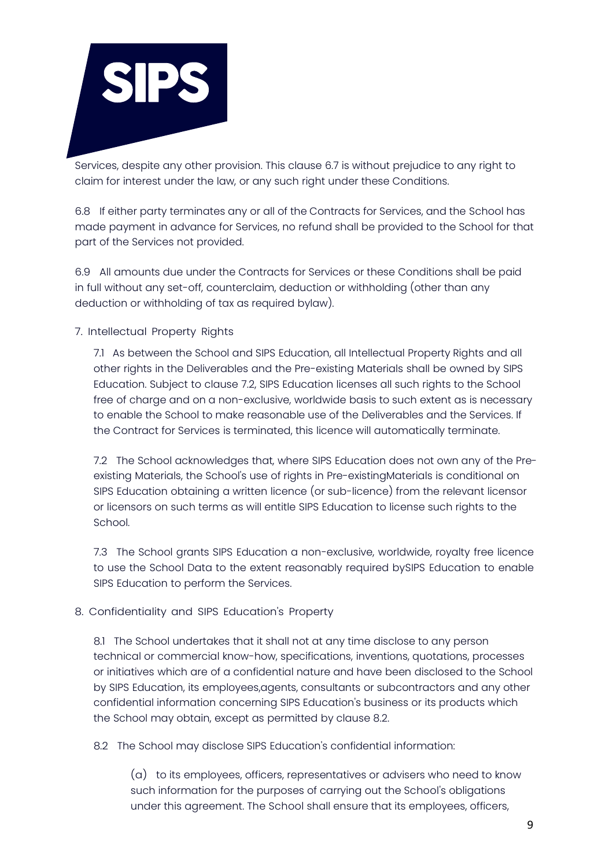

Services, despite any other provision. This clause 6.7 is without prejudice to any right to claim for interest under the law, or any such right under these Conditions.

6.8 If either party terminates any or all of the Contracts for Services, and the School has made payment in advance for Services, no refund shall be provided to the School for that part of the Services not provided.

6.9 All amounts due under the Contracts for Services or these Conditions shall be paid in full without any set-off, counterclaim, deduction or withholding (other than any deduction or withholding of tax as required bylaw).

7. Intellectual Property Rights

7.1 As between the School and SIPS Education, all Intellectual Property Rights and all other rights in the Deliverables and the Pre-existing Materials shall be owned by SIPS Education. Subject to clause 7.2, SIPS Education licenses all such rights to the School free of charge and on a non-exclusive, worldwide basis to such extent as is necessary to enable the School to make reasonable use of the Deliverables and the Services. If the Contract for Services is terminated, this licence will automatically terminate.

7.2 The School acknowledges that, where SIPS Education does not own any of the Preexisting Materials, the School's use of rights in Pre-existingMaterials is conditional on SIPS Education obtaining a written licence (or sub-licence) from the relevant licensor or licensors on such terms as will entitle SIPS Education to license such rights to the School.

7.3 The School grants SIPS Education a non-exclusive, worldwide, royalty free licence to use the School Data to the extent reasonably required bySIPS Education to enable SIPS Education to perform the Services.

8. Confidentiality and SIPS Education's Property

8.1 The School undertakes that it shall not at any time disclose to any person technical or commercial know-how, specifications, inventions, quotations, processes or initiatives which are of a confidential nature and have been disclosed to the School by SIPS Education, its employees,agents, consultants or subcontractors and any other confidential information concerning SIPS Education's business or its products which the School may obtain, except as permitted by clause 8.2.

8.2 The School may disclose SIPS Education's confidential information:

(a) to its employees, officers, representatives or advisers who need to know such information for the purposes of carrying out the School's obligations under this agreement. The School shall ensure that its employees, officers,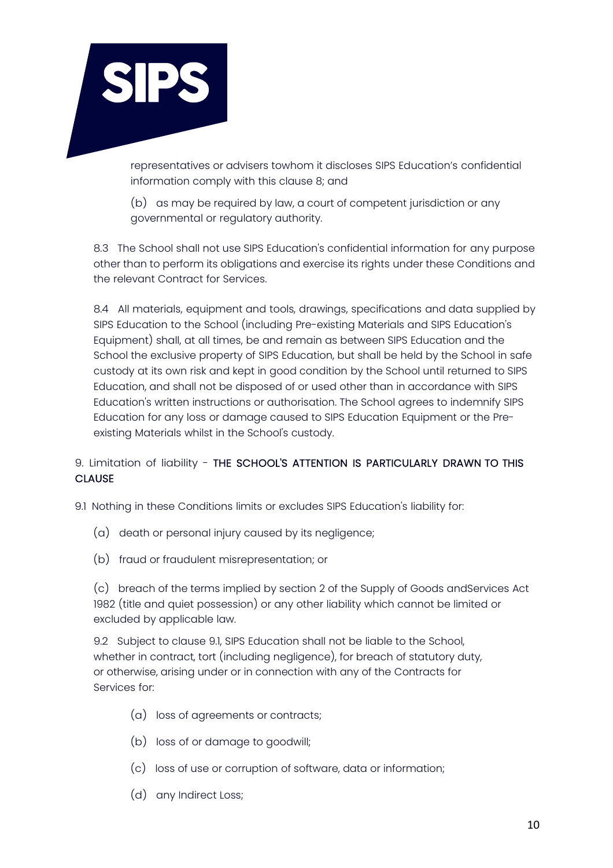

representatives or advisers towhom it discloses SIPS Education's confidential information comply with this clause 8; and

(b) as may be required by law, a court of competent jurisdiction or any governmental or regulatory authority.

8.3 The School shall not use SIPS Education's confidential information for any purpose other than to perform its obligations and exercise its rights under these Conditions and the relevant Contract for Services.

8.4 All materials, equipment and tools, drawings, specifications and data supplied by SIPS Education to the School (including Pre-existing Materials and SIPS Education's Equipment) shall, at all times, be and remain as between SIPS Education and the School the exclusive property of SIPS Education, but shall be held by the School in safe custody at its own risk and kept in good condition by the School until returned to SIPS Education, and shall not be disposed of or used other than in accordance with SIPS Education's written instructions or authorisation. The School agrees to indemnify SIPS Education for any loss or damage caused to SIPS Education Equipment or the Preexisting Materials whilst in the School's custody.

# 9. Limitation of liability - THE SCHOOL'S ATTENTION IS PARTICULARLY DRAWN TO THIS **CLAUSE**

- 9.1 Nothing in these Conditions limits or excludes SIPS Education's liability for:
	- (a) death or personal injury caused by its negligence;
	- (b) fraud or fraudulent misrepresentation; or

(c) breach of the terms implied by section 2 of the Supply of Goods andServices Act 1982 (title and quiet possession) or any other liability which cannot be limited or excluded by applicable law.

9.2 Subject to clause 9.1, SIPS Education shall not be liable to the School, whether in contract, tort (including negligence), for breach of statutory duty, or otherwise, arising under or in connection with any of the Contracts for Services for:

- (a) loss of agreements or contracts;
- (b) loss of or damage to goodwill;
- (c) loss of use or corruption of software, data or information;
- (d) any Indirect Loss;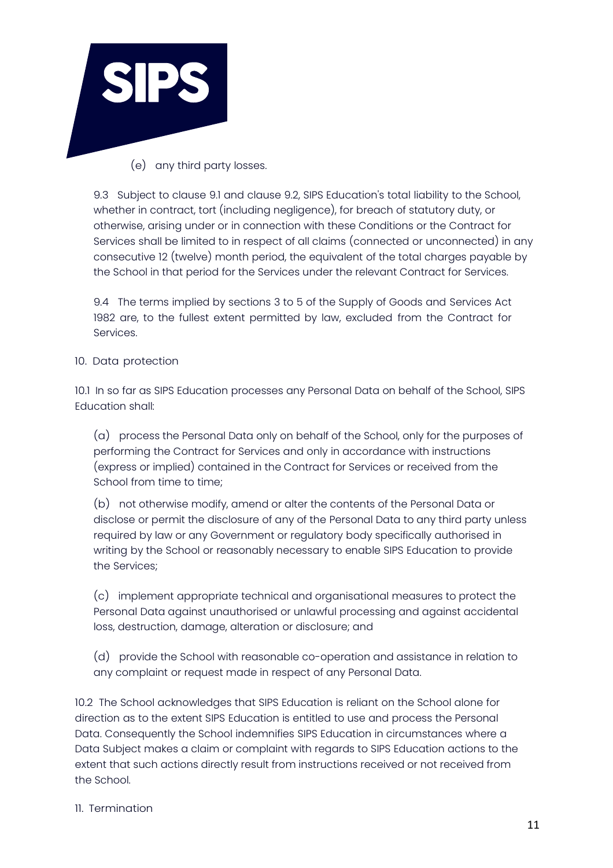

(e) any third party losses.

9.3 Subject to clause 9.1 and clause 9.2, SIPS Education's total liability to the School, whether in contract, tort (including negligence), for breach of statutory duty, or otherwise, arising under or in connection with these Conditions or the Contract for Services shall be limited to in respect of all claims (connected or unconnected) in any consecutive 12 (twelve) month period, the equivalent of the total charges payable by the School in that period for the Services under the relevant Contract for Services.

9.4 The terms implied by sections 3 to 5 of the Supply of Goods and Services Act 1982 are, to the fullest extent permitted by law, excluded from the Contract for Services.

# 10. Data protection

10.1 In so far as SIPS Education processes any Personal Data on behalf of the School, SIPS Education shall:

(a) process the Personal Data only on behalf of the School, only for the purposes of performing the Contract for Services and only in accordance with instructions (express or implied) contained in the Contract for Services or received from the School from time to time;

(b) not otherwise modify, amend or alter the contents of the Personal Data or disclose or permit the disclosure of any of the Personal Data to any third party unless required by law or any Government or regulatory body specifically authorised in writing by the School or reasonably necessary to enable SIPS Education to provide the Services;

(c) implement appropriate technical and organisational measures to protect the Personal Data against unauthorised or unlawful processing and against accidental loss, destruction, damage, alteration or disclosure; and

(d) provide the School with reasonable co-operation and assistance in relation to any complaint or request made in respect of any Personal Data.

10.2 The School acknowledges that SIPS Education is reliant on the School alone for direction as to the extent SIPS Education is entitled to use and process the Personal Data. Consequently the School indemnifies SIPS Education in circumstances where a Data Subject makes a claim or complaint with regards to SIPS Education actions to the extent that such actions directly result from instructions received or not received from the School.

# 11. Termination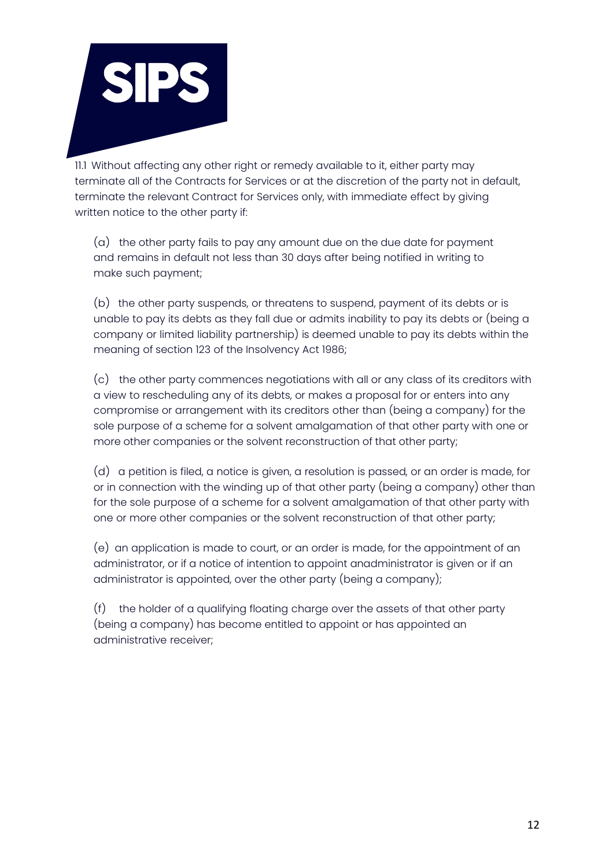

11.1 Without affecting any other right or remedy available to it, either party may terminate all of the Contracts for Services or at the discretion of the party not in default, terminate the relevant Contract for Services only, with immediate effect by giving written notice to the other party if:

(a) the other party fails to pay any amount due on the due date for payment and remains in default not less than 30 days after being notified in writing to make such payment;

(b) the other party suspends, or threatens to suspend, payment of its debts or is unable to pay its debts as they fall due or admits inability to pay its debts or (being a company or limited liability partnership) is deemed unable to pay its debts within the meaning of section 123 of the Insolvency Act 1986;

(c) the other party commences negotiations with all or any class of its creditors with a view to rescheduling any of its debts, or makes a proposal for or enters into any compromise or arrangement with its creditors other than (being a company) for the sole purpose of a scheme for a solvent amalgamation of that other party with one or more other companies or the solvent reconstruction of that other party;

(d) a petition is filed, a notice is given, a resolution is passed, or an order is made, for or in connection with the winding up of that other party (being a company) other than for the sole purpose of a scheme for a solvent amalgamation of that other party with one or more other companies or the solvent reconstruction of that other party;

(e) an application is made to court, or an order is made, for the appointment of an administrator, or if a notice of intention to appoint anadministrator is given or if an administrator is appointed, over the other party (being a company);

(f) the holder of a qualifying floating charge over the assets of that other party (being a company) has become entitled to appoint or has appointed an administrative receiver;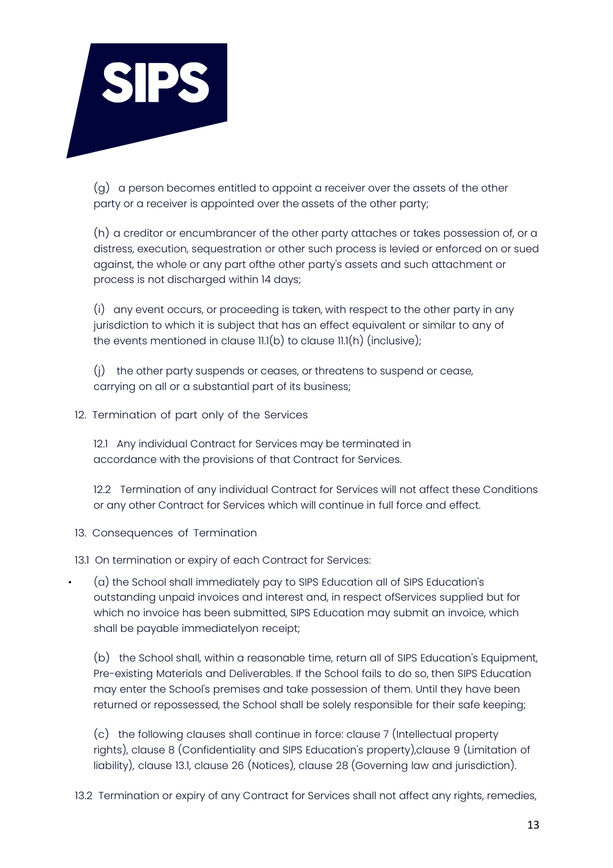

(g) a person becomes entitled to appoint a receiver over the assets of the other party or a receiver is appointed over the assets of the other party;

(h) a creditor or encumbrancer of the other party attaches or takes possession of, or a distress, execution, sequestration or other such process is levied or enforced on or sued against, the whole or any part ofthe other party's assets and such attachment or process is not discharged within 14 days;

(i) any event occurs, or proceeding is taken, with respect to the other party in any jurisdiction to which it is subject that has an effect equivalent or similar to any of the events mentioned in clause  $11.(b)$  to clause  $11.(h)$  (inclusive);

(j) the other party suspends or ceases, or threatens to suspend or cease, carrying on all or a substantial part of its business;

# 12. Termination of part only of the Services

12.1 Any individual Contract for Services may be terminated in accordance with the provisions of that Contract for Services.

12.2 Termination of any individual Contract for Services will not affect these Conditions or any other Contract for Services which will continue in full force and effect.

13. Consequences of Termination

13.1 On termination or expiry of each Contract for Services:

• (a) the School shall immediately pay to SIPS Education all of SIPS Education's outstanding unpaid invoices and interest and, in respect ofServices supplied but for which no invoice has been submitted, SIPS Education may submit an invoice, which shall be payable immediatelyon receipt;

(b) the School shall, within a reasonable time, return all of SIPS Education's Equipment, Pre-existing Materials and Deliverables. If the School fails to do so, then SIPS Education may enter the School's premises and take possession of them. Until they have been returned or repossessed, the School shall be solely responsible for their safe keeping;

(c) the following clauses shall continue in force: clause 7 (Intellectual property rights), clause 8 (Confidentiality and SIPS Education's property),clause 9 (Limitation of liability), clause 13.1, clause 26 (Notices), clause 28 (Governing law and jurisdiction).

13.2 Termination or expiry of any Contract for Services shall not affect any rights, remedies,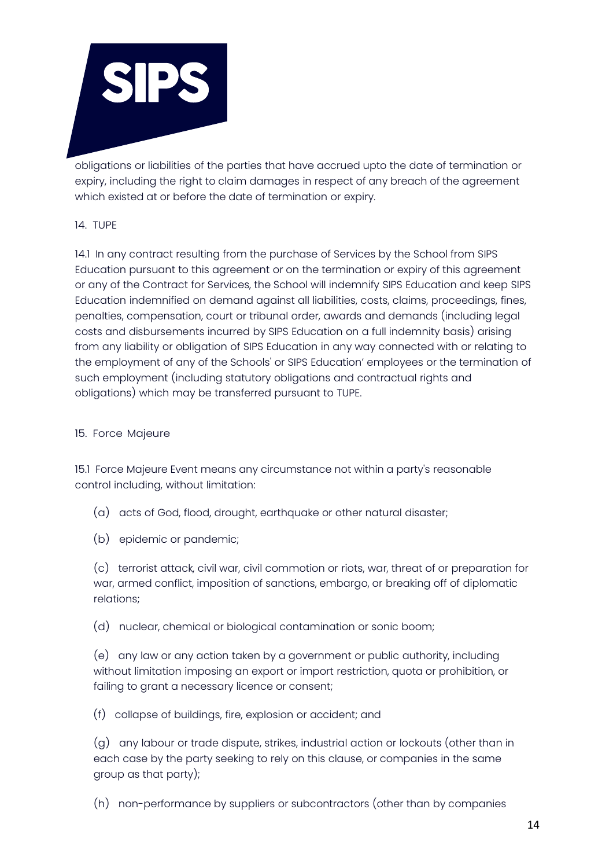

obligations or liabilities of the parties that have accrued upto the date of termination or expiry, including the right to claim damages in respect of any breach of the agreement which existed at or before the date of termination or expiry.

# 14. TUPE

14.1 In any contract resulting from the purchase of Services by the School from SIPS Education pursuant to this agreement or on the termination or expiry of this agreement or any of the Contract for Services, the School will indemnify SIPS Education and keep SIPS Education indemnified on demand against all liabilities, costs, claims, proceedings, fines, penalties, compensation, court or tribunal order, awards and demands (including legal costs and disbursements incurred by SIPS Education on a full indemnity basis) arising from any liability or obligation of SIPS Education in any way connected with or relating to the employment of any of the Schools' or SIPS Education' employees or the termination of such employment (including statutory obligations and contractual rights and obligations) which may be transferred pursuant to TUPE.

# 15. Force Majeure

15.1 Force Majeure Event means any circumstance not within a party's reasonable control including, without limitation:

- (a) acts of God, flood, drought, earthquake or other natural disaster;
- (b) epidemic or pandemic;

(c) terrorist attack, civil war, civil commotion or riots, war, threat of or preparation for war, armed conflict, imposition of sanctions, embargo, or breaking off of diplomatic relations;

(d) nuclear, chemical or biological contamination or sonic boom;

(e) any law or any action taken by a government or public authority, including without limitation imposing an export or import restriction, quota or prohibition, or failing to grant a necessary licence or consent;

(f) collapse of buildings, fire, explosion or accident; and

(g) any labour or trade dispute, strikes, industrial action or lockouts (other than in each case by the party seeking to rely on this clause, or companies in the same group as that party);

(h) non-performance by suppliers or subcontractors (other than by companies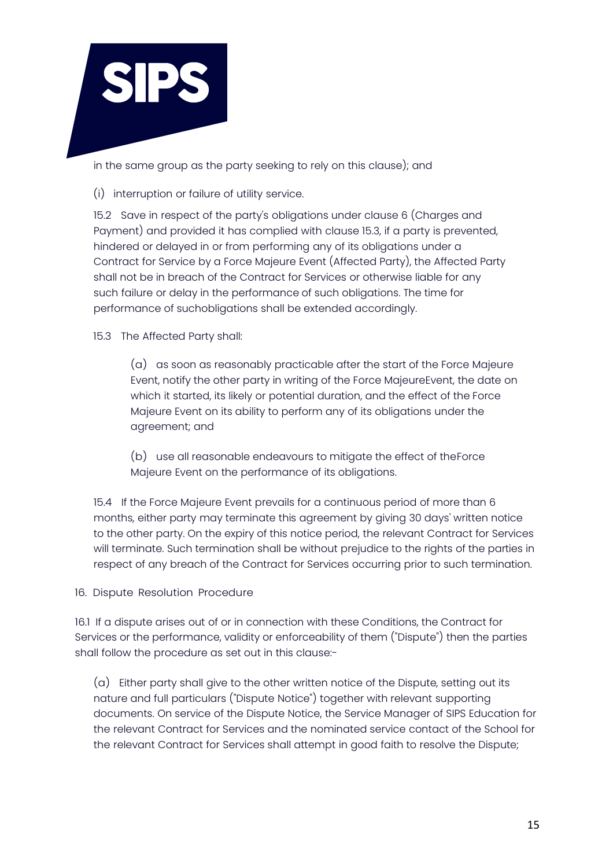

in the same group as the party seeking to rely on this clause); and

(i) interruption or failure of utility service.

15.2 Save in respect of the party's obligations under clause 6 (Charges and Payment) and provided it has complied with clause 15.3, if a party is prevented, hindered or delayed in or from performing any of its obligations under a Contract for Service by a Force Majeure Event (Affected Party), the Affected Party shall not be in breach of the Contract for Services or otherwise liable for any such failure or delay in the performance of such obligations. The time for performance of suchobligations shall be extended accordingly.

15.3 The Affected Party shall:

(a) as soon as reasonably practicable after the start of the Force Majeure Event, notify the other party in writing of the Force MajeureEvent, the date on which it started, its likely or potential duration, and the effect of the Force Majeure Event on its ability to perform any of its obligations under the agreement; and

(b) use all reasonable endeavours to mitigate the effect of theForce Majeure Event on the performance of its obligations.

15.4 If the Force Majeure Event prevails for a continuous period of more than 6 months, either party may terminate this agreement by giving 30 days' written notice to the other party. On the expiry of this notice period, the relevant Contract for Services will terminate. Such termination shall be without prejudice to the rights of the parties in respect of any breach of the Contract for Services occurring prior to such termination.

16. Dispute Resolution Procedure

16.1 If a dispute arises out of or in connection with these Conditions, the Contract for Services or the performance, validity or enforceability of them ("Dispute") then the parties shall follow the procedure as set out in this clause:-

(a) Either party shall give to the other written notice of the Dispute, setting out its nature and full particulars ("Dispute Notice") together with relevant supporting documents. On service of the Dispute Notice, the Service Manager of SIPS Education for the relevant Contract for Services and the nominated service contact of the School for the relevant Contract for Services shall attempt in good faith to resolve the Dispute;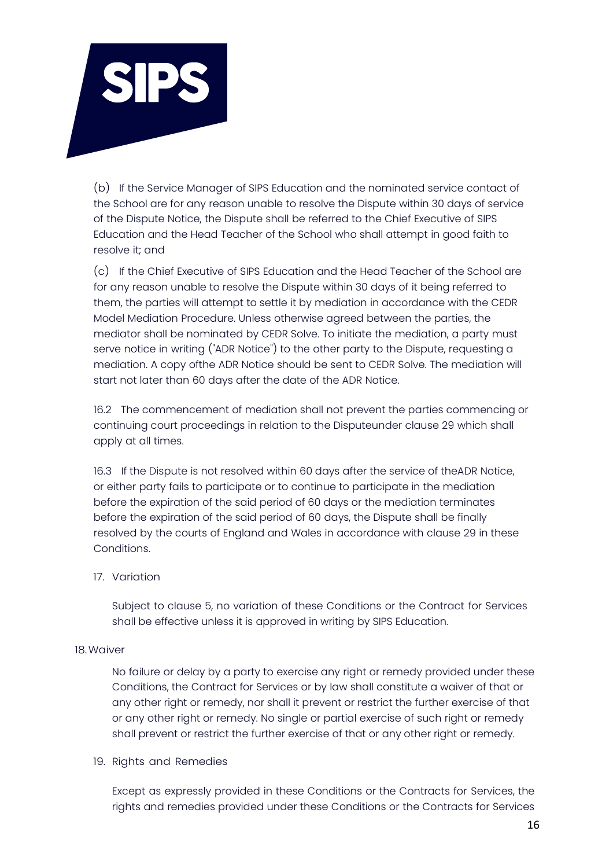

(b) If the Service Manager of SIPS Education and the nominated service contact of the School are for any reason unable to resolve the Dispute within 30 days of service of the Dispute Notice, the Dispute shall be referred to the Chief Executive of SIPS Education and the Head Teacher of the School who shall attempt in good faith to resolve it; and

(c) If the Chief Executive of SIPS Education and the Head Teacher of the School are for any reason unable to resolve the Dispute within 30 days of it being referred to them, the parties will attempt to settle it by mediation in accordance with the CEDR Model Mediation Procedure. Unless otherwise agreed between the parties, the mediator shall be nominated by CEDR Solve. To initiate the mediation, a party must serve notice in writing ("ADR Notice") to the other party to the Dispute, requesting a mediation. A copy ofthe ADR Notice should be sent to CEDR Solve. The mediation will start not later than 60 days after the date of the ADR Notice.

16.2 The commencement of mediation shall not prevent the parties commencing or continuing court proceedings in relation to the Disputeunder clause 29 which shall apply at all times.

16.3 If the Dispute is not resolved within 60 days after the service of theADR Notice, or either party fails to participate or to continue to participate in the mediation before the expiration of the said period of 60 days or the mediation terminates before the expiration of the said period of 60 days, the Dispute shall be finally resolved by the courts of England and Wales in accordance with clause 29 in these Conditions.

17. Variation

Subject to clause 5, no variation of these Conditions or the Contract for Services shall be effective unless it is approved in writing by SIPS Education.

#### 18.Waiver

No failure or delay by a party to exercise any right or remedy provided under these Conditions, the Contract for Services or by law shall constitute a waiver of that or any other right or remedy, nor shall it prevent or restrict the further exercise of that or any other right or remedy. No single or partial exercise of such right or remedy shall prevent or restrict the further exercise of that or any other right or remedy.

#### 19. Rights and Remedies

Except as expressly provided in these Conditions or the Contracts for Services, the rights and remedies provided under these Conditions or the Contracts for Services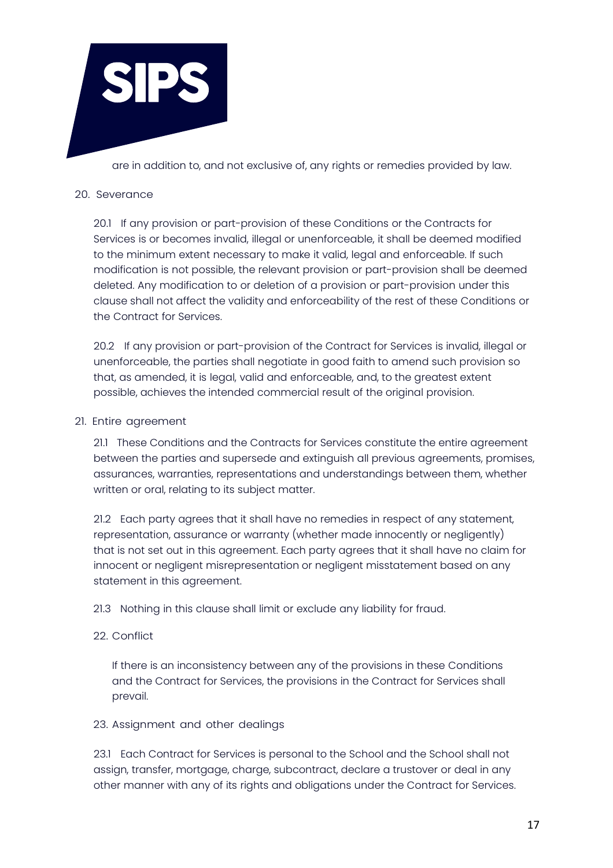

are in addition to, and not exclusive of, any rights or remedies provided by law.

# 20. Severance

20.1 If any provision or part-provision of these Conditions or the Contracts for Services is or becomes invalid, illegal or unenforceable, it shall be deemed modified to the minimum extent necessary to make it valid, legal and enforceable. If such modification is not possible, the relevant provision or part-provision shall be deemed deleted. Any modification to or deletion of a provision or part-provision under this clause shall not affect the validity and enforceability of the rest of these Conditions or the Contract for Services.

20.2 If any provision or part-provision of the Contract for Services is invalid, illegal or unenforceable, the parties shall negotiate in good faith to amend such provision so that, as amended, it is legal, valid and enforceable, and, to the greatest extent possible, achieves the intended commercial result of the original provision.

# 21. Entire agreement

21.1 These Conditions and the Contracts for Services constitute the entire agreement between the parties and supersede and extinguish all previous agreements, promises, assurances, warranties, representations and understandings between them, whether written or oral, relating to its subject matter.

21.2 Each party agrees that it shall have no remedies in respect of any statement, representation, assurance or warranty (whether made innocently or negligently) that is not set out in this agreement. Each party agrees that it shall have no claim for innocent or negligent misrepresentation or negligent misstatement based on any statement in this agreement.

21.3 Nothing in this clause shall limit or exclude any liability for fraud.

# 22. Conflict

If there is an inconsistency between any of the provisions in these Conditions and the Contract for Services, the provisions in the Contract for Services shall prevail.

# 23. Assignment and other dealings

23.1 Each Contract for Services is personal to the School and the School shall not assign, transfer, mortgage, charge, subcontract, declare a trustover or deal in any other manner with any of its rights and obligations under the Contract for Services.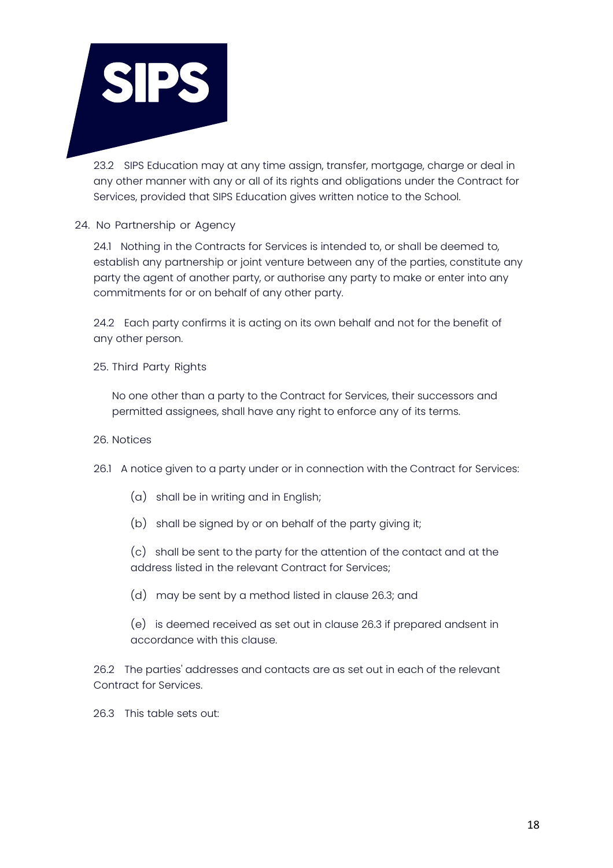

23.2 SIPS Education may at any time assign, transfer, mortgage, charge or deal in any other manner with any or all of its rights and obligations under the Contract for Services, provided that SIPS Education gives written notice to the School.

24. No Partnership or Agency

24.1 Nothing in the Contracts for Services is intended to, or shall be deemed to, establish any partnership or joint venture between any of the parties, constitute any party the agent of another party, or authorise any party to make or enter into any commitments for or on behalf of any other party.

24.2 Each party confirms it is acting on its own behalf and not for the benefit of any other person.

25. Third Party Rights

No one other than a party to the Contract for Services, their successors and permitted assignees, shall have any right to enforce any of its terms.

- 26. Notices
- 26.1 A notice given to a party under or in connection with the Contract for Services:
	- (a) shall be in writing and in English;
	- (b) shall be signed by or on behalf of the party giving it;

(c) shall be sent to the party for the attention of the contact and at the address listed in the relevant Contract for Services;

(d) may be sent by a method listed in clause 26.3; and

(e) is deemed received as set out in clause 26.3 if prepared andsent in accordance with this clause.

26.2 The parties' addresses and contacts are as set out in each of the relevant Contract for Services.

26.3 This table sets out: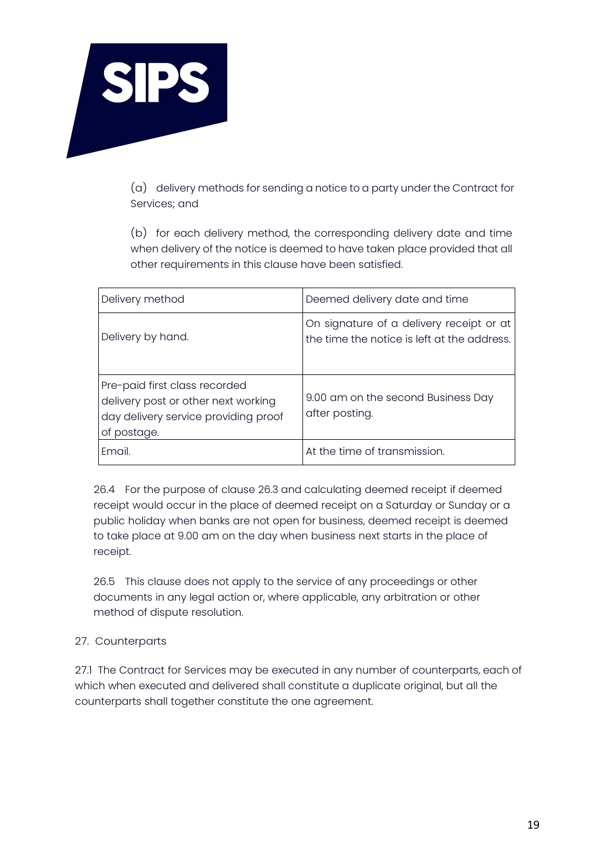

(a) delivery methods for sending a notice to a party under the Contract for Services; and

(b) for each delivery method, the corresponding delivery date and time when delivery of the notice is deemed to have taken place provided that all other requirements in this clause have been satisfied.

| Delivery method                                                                                                             | Deemed delivery date and time                                                           |
|-----------------------------------------------------------------------------------------------------------------------------|-----------------------------------------------------------------------------------------|
| Delivery by hand.                                                                                                           | On signature of a delivery receipt or at<br>the time the notice is left at the address. |
| Pre-paid first class recorded<br>delivery post or other next working<br>day delivery service providing proof<br>of postage. | 9.00 am on the second Business Day<br>after posting.                                    |
| Fmail.                                                                                                                      | At the time of transmission.                                                            |

26.4 For the purpose of clause 26.3 and calculating deemed receipt if deemed receipt would occur in the place of deemed receipt on a Saturday or Sunday or a public holiday when banks are not open for business, deemed receipt is deemed to take place at 9.00 am on the day when business next starts in the place of receipt.

26.5 This clause does not apply to the service of any proceedings or other documents in any legal action or, where applicable, any arbitration or other method of dispute resolution.

# 27. Counterparts

27.1 The Contract for Services may be executed in any number of counterparts, each of which when executed and delivered shall constitute a duplicate original, but all the counterparts shall together constitute the one agreement.